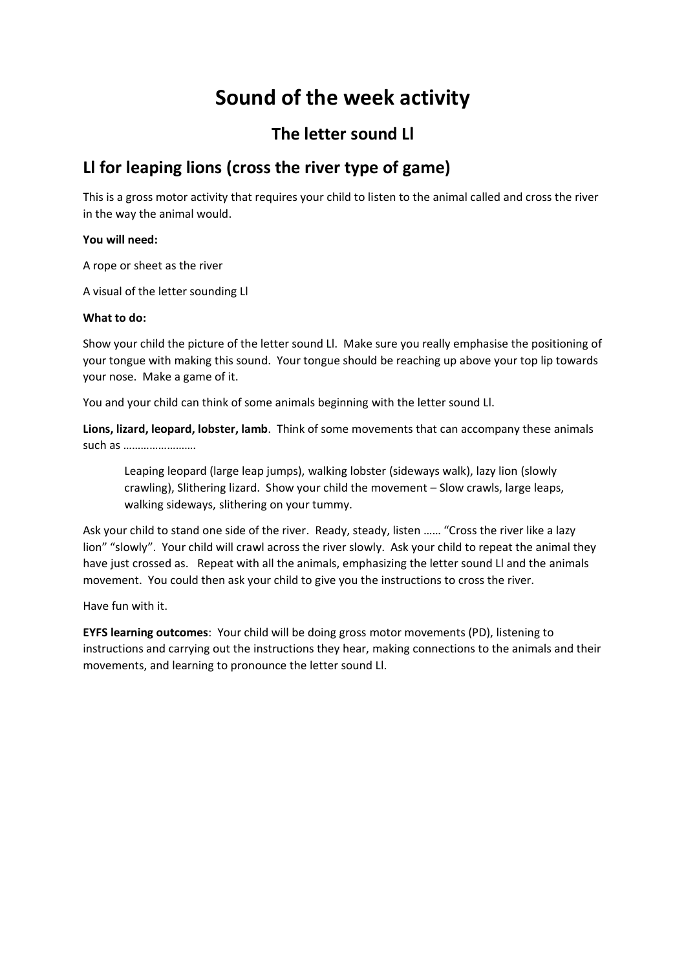# **Sound of the week activity**

### **The letter sound Ll**

## **Ll for leaping lions (cross the river type of game)**

This is a gross motor activity that requires your child to listen to the animal called and cross the river in the way the animal would.

### **You will need:**

A rope or sheet as the river

A visual of the letter sounding Ll

### **What to do:**

Show your child the picture of the letter sound Ll. Make sure you really emphasise the positioning of your tongue with making this sound. Your tongue should be reaching up above your top lip towards your nose. Make a game of it.

You and your child can think of some animals beginning with the letter sound Ll.

**Lions, lizard, leopard, lobster, lamb**. Think of some movements that can accompany these animals such as …………………….

Leaping leopard (large leap jumps), walking lobster (sideways walk), lazy lion (slowly crawling), Slithering lizard. Show your child the movement – Slow crawls, large leaps, walking sideways, slithering on your tummy.

Ask your child to stand one side of the river. Ready, steady, listen …… "Cross the river like a lazy lion" "slowly". Your child will crawl across the river slowly. Ask your child to repeat the animal they have just crossed as. Repeat with all the animals, emphasizing the letter sound Ll and the animals movement. You could then ask your child to give you the instructions to cross the river.

Have fun with it.

**EYFS learning outcomes**: Your child will be doing gross motor movements (PD), listening to instructions and carrying out the instructions they hear, making connections to the animals and their movements, and learning to pronounce the letter sound Ll.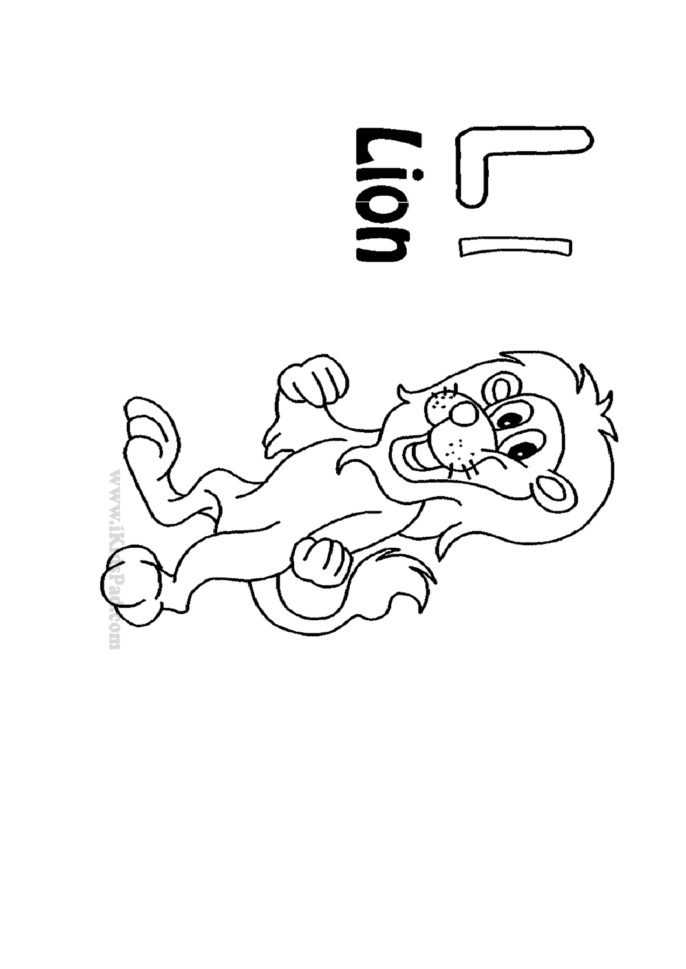